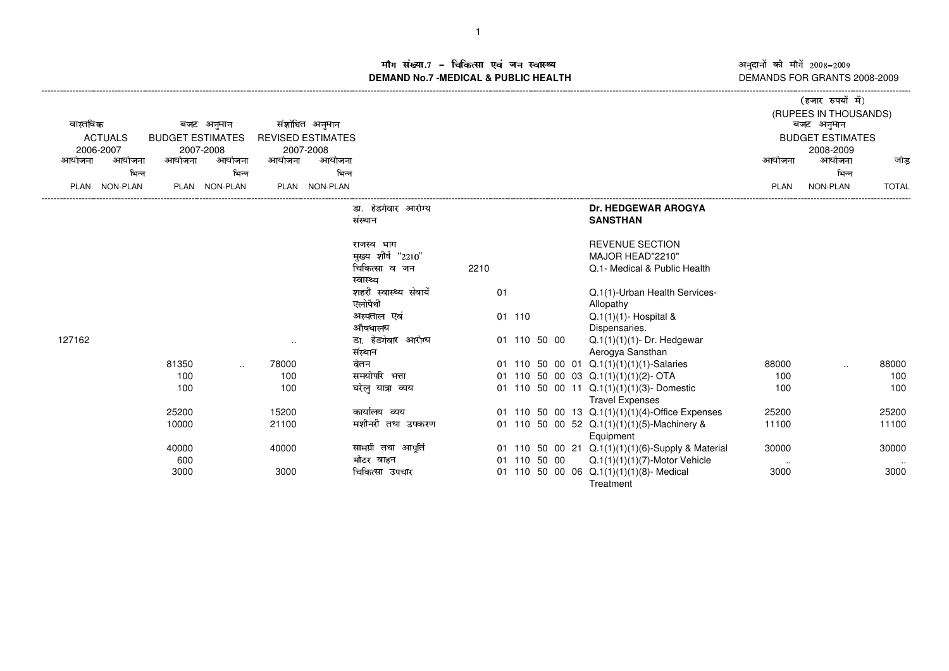ाँग संख्या.7 – चिकित्सा एवं जन स्वास्थ्य<br>IAND No.7 MEDICAL & DURLIC HEALTH **DEMAND No.7 -MEDICAL & PUBLIC HEALTH**

अनुदानों की माँगें 2008–2009<br>DEMANDS FOR GRANTS 2008-2009

|                                           |          |        |               |                      |                          |                        |      |    |           |  |  |                                                       |             | (हजार रुपयों में)     |              |  |
|-------------------------------------------|----------|--------|---------------|----------------------|--------------------------|------------------------|------|----|-----------|--|--|-------------------------------------------------------|-------------|-----------------------|--------------|--|
|                                           |          |        |               |                      |                          |                        |      |    |           |  |  |                                                       |             | (RUPEES IN THOUSANDS) |              |  |
| वास्तविक                                  |          |        | बजट अनुमान    |                      | संशोधित अनुमान           |                        |      |    |           |  |  |                                                       |             | बजट अनुमान            |              |  |
| <b>ACTUALS</b><br><b>BUDGET ESTIMATES</b> |          |        |               |                      | <b>REVISED ESTIMATES</b> |                        |      |    |           |  |  | <b>BUDGET ESTIMATES</b>                               |             |                       |              |  |
| 2006-2007                                 |          |        | 2007-2008     |                      | 2007-2008                |                        |      |    |           |  |  |                                                       |             | 2008-2009             |              |  |
| आयोजना                                    | आयोजना   | आयोजना | आयोजना        | आयोजना               | आयोजना                   |                        |      |    |           |  |  |                                                       | आयोजना      | आयोजना                | जोड          |  |
|                                           | भिन्न    |        | भिन्न         |                      | भिन्न                    |                        |      |    |           |  |  |                                                       |             | भिन्न                 |              |  |
| <b>PLAN</b>                               | NON-PLAN |        | PLAN NON-PLAN |                      | PLAN NON-PLAN            |                        |      |    |           |  |  |                                                       | <b>PLAN</b> | NON-PLAN              | <b>TOTAL</b> |  |
|                                           |          |        |               |                      |                          | डा. हंडगेवार आरोग्य    |      |    |           |  |  | <b>Dr. HEDGEWAR AROGYA</b>                            |             |                       |              |  |
|                                           |          |        |               |                      |                          | संस्थान                |      |    |           |  |  | <b>SANSTHAN</b>                                       |             |                       |              |  |
|                                           |          |        |               |                      |                          | राजस्व भाग             |      |    |           |  |  | <b>REVENUE SECTION</b>                                |             |                       |              |  |
|                                           |          |        |               |                      |                          | मुख्य शीर्ष "2210"     |      |    |           |  |  | MAJOR HEAD"2210"                                      |             |                       |              |  |
|                                           |          |        |               |                      |                          | चिकित्सा व जन          | 2210 |    |           |  |  | Q.1- Medical & Public Health                          |             |                       |              |  |
|                                           |          |        |               |                      |                          | स्वास्थ्य              |      |    |           |  |  |                                                       |             |                       |              |  |
|                                           |          |        |               |                      |                          | शहरी स्वास्थ्य सेवायें |      | 01 |           |  |  | Q.1(1)-Urban Health Services-                         |             |                       |              |  |
|                                           |          |        |               |                      |                          | एलोपैथी                |      |    |           |  |  | Allopathy                                             |             |                       |              |  |
|                                           |          |        |               |                      |                          | अस्पताल एवं            |      | 01 | 110       |  |  | $Q.1(1)(1)$ - Hospital &                              |             |                       |              |  |
|                                           |          |        |               |                      |                          | औषधालय                 |      |    |           |  |  | Dispensaries.                                         |             |                       |              |  |
| 127162                                    |          |        |               | $\ddot{\phantom{a}}$ |                          | डा. हेडगेवार आरोग्य    |      | 01 | 110 50 00 |  |  | $Q.1(1)(1)(1)$ - Dr. Hedgewar                         |             |                       |              |  |
|                                           |          |        |               |                      |                          | संस्थान                |      |    |           |  |  | Aerogya Sansthan                                      |             |                       |              |  |
|                                           |          | 81350  |               | 78000                |                          | वेतन                   |      | 01 |           |  |  | 110 50 00 01 Q.1(1)(1)(1)(1)-Salaries                 | 88000       |                       | 88000        |  |
|                                           |          | 100    |               | 100                  |                          | समयोपरि भत्ता          |      | 01 |           |  |  | 110 50 00 03 $Q.1(1)(1)(2)$ - OTA                     | 100         |                       | 100          |  |
|                                           |          | 100    |               | 100                  |                          | घरेलू यात्रा व्यय      |      | 01 |           |  |  | 110 50 00 11 Q.1(1)(1)(1)(3)-Domestic                 | 100         |                       | 100          |  |
|                                           |          |        |               |                      |                          |                        |      |    |           |  |  | <b>Travel Expenses</b>                                |             |                       |              |  |
|                                           |          | 25200  |               | 15200                |                          | कार्यालय व्यय          |      |    |           |  |  | 01 110 50 00 13 Q.1(1)(1)(1)(4)-Office Expenses       | 25200       |                       | 25200        |  |
|                                           |          | 10000  |               | 21100                |                          | मशीनरी तथा उपकरण       |      | 01 |           |  |  | 110 50 00 52 Q.1(1)(1)(1)(5)-Machinery &<br>Equipment | 11100       |                       | 11100        |  |
|                                           |          | 40000  |               | 40000                |                          | सामग्री तथा आपति       |      |    |           |  |  | 01 110 50 00 21 Q.1(1)(1)(1)(6)-Supply & Material     | 30000       |                       | 30000        |  |
|                                           |          | 600    |               |                      |                          | मोटर वाहन              |      | 01 | 110 50 00 |  |  | $Q.1(1)(1)(1)(7)$ -Motor Vehicle                      | $\sim$      |                       |              |  |
|                                           |          | 3000   |               | 3000                 |                          | चिकित्सा उपचार         |      | 01 |           |  |  | 110 50 00 06 Q.1(1)(1)(1)(8)- Medical                 | 3000        |                       | 3000         |  |
|                                           |          |        |               |                      |                          |                        |      |    |           |  |  | Treatment                                             |             |                       |              |  |